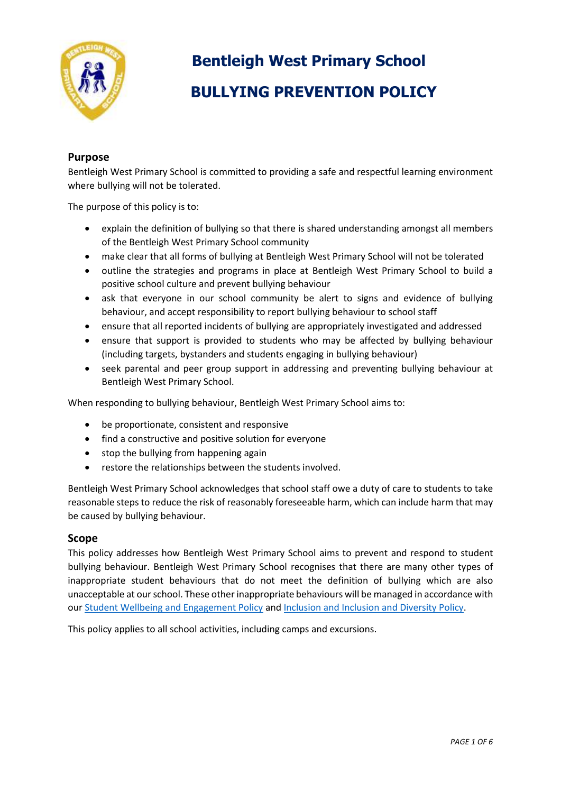

# **Bentleigh West Primary School BULLYING PREVENTION POLICY**

# **Purpose**

Bentleigh West Primary School is committed to providing a safe and respectful learning environment where bullying will not be tolerated.

The purpose of this policy is to:

- explain the definition of bullying so that there is shared understanding amongst all members of the Bentleigh West Primary School community
- make clear that all forms of bullying at Bentleigh West Primary School will not be tolerated
- outline the strategies and programs in place at Bentleigh West Primary School to build a positive school culture and prevent bullying behaviour
- ask that everyone in our school community be alert to signs and evidence of bullying behaviour, and accept responsibility to report bullying behaviour to school staff
- ensure that all reported incidents of bullying are appropriately investigated and addressed
- ensure that support is provided to students who may be affected by bullying behaviour (including targets, bystanders and students engaging in bullying behaviour)
- seek parental and peer group support in addressing and preventing bullying behaviour at Bentleigh West Primary School.

When responding to bullying behaviour, Bentleigh West Primary School aims to:

- be proportionate, consistent and responsive
- find a constructive and positive solution for everyone
- stop the bullying from happening again
- restore the relationships between the students involved.

Bentleigh West Primary School acknowledges that school staff owe a duty of care to students to take reasonable steps to reduce the risk of reasonably foreseeable harm, which can include harm that may be caused by bullying behaviour.

#### **Scope**

This policy addresses how Bentleigh West Primary School aims to prevent and respond to student bullying behaviour. Bentleigh West Primary School recognises that there are many other types of inappropriate student behaviours that do not meet the definition of bullying which are also unacceptable at our school. These other inappropriate behaviours will be managed in accordance with our [Student Wellbeing and Engagement Policy](https://www.bentleighwestps.vic.edu.au/our-policies) and [Inclusion and Inclusion and Diversity Policy.](https://www.bentleighwestps.vic.edu.au/our-policies)

This policy applies to all school activities, including camps and excursions.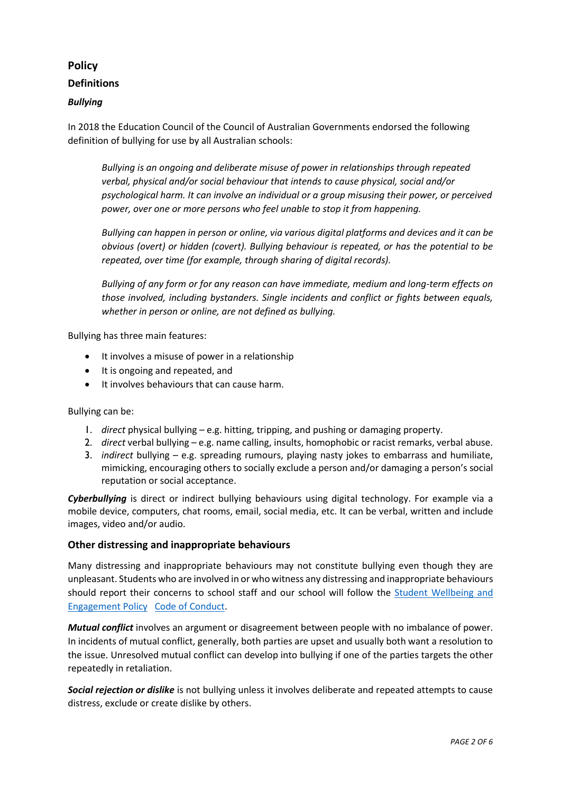# **Policy Definitions**

### *Bullying*

In 2018 the Education Council of the Council of Australian Governments endorsed the following definition of bullying for use by all Australian schools:

*Bullying is an ongoing and deliberate misuse of power in relationships through repeated verbal, physical and/or social behaviour that intends to cause physical, social and/or psychological harm. It can involve an individual or a group misusing their power, or perceived power, over one or more persons who feel unable to stop it from happening.*

*Bullying can happen in person or online, via various digital platforms and devices and it can be obvious (overt) or hidden (covert). Bullying behaviour is repeated, or has the potential to be repeated, over time (for example, through sharing of digital records).*

*Bullying of any form or for any reason can have immediate, medium and long-term effects on those involved, including bystanders. Single incidents and conflict or fights between equals, whether in person or online, are not defined as bullying.*

Bullying has three main features:

- It involves a misuse of power in a relationship
- It is ongoing and repeated, and
- It involves behaviours that can cause harm.

Bullying can be:

- 1. *direct* physical bullying e.g. hitting, tripping, and pushing or damaging property.
- 2. *direct* verbal bullying e.g. name calling, insults, homophobic or racist remarks, verbal abuse.
- 3. *indirect* bullying e.g. spreading rumours, playing nasty jokes to embarrass and humiliate, mimicking, encouraging others to socially exclude a person and/or damaging a person's social reputation or social acceptance.

*Cyberbullying* is direct or indirect bullying behaviours using digital technology. For example via a mobile device, computers, chat rooms, email, social media, etc. It can be verbal, written and include images, video and/or audio.

#### **Other distressing and inappropriate behaviours**

Many distressing and inappropriate behaviours may not constitute bullying even though they are unpleasant. Students who are involved in or who witness any distressing and inappropriate behaviours should report their concerns to school staff and our school will follow the [Student Wellbeing and](https://www.bentleighwestps.vic.edu.au/our-policies)  [Engagement Policy Code of Conduct.](https://www.bentleighwestps.vic.edu.au/our-policies)

*Mutual conflict* involves an argument or disagreement between people with no imbalance of power. In incidents of mutual conflict, generally, both parties are upset and usually both want a resolution to the issue. Unresolved mutual conflict can develop into bullying if one of the parties targets the other repeatedly in retaliation.

*Social rejection or dislike* is not bullying unless it involves deliberate and repeated attempts to cause distress, exclude or create dislike by others.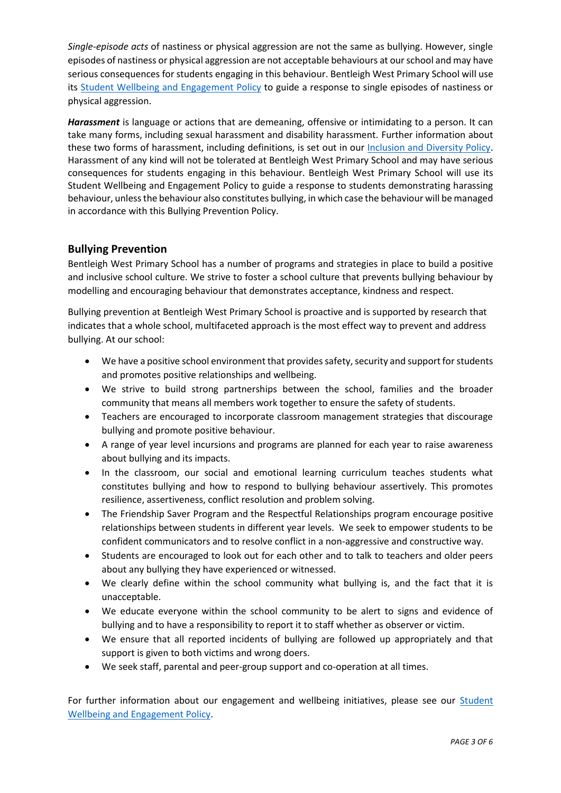*Single-episode acts* of nastiness or physical aggression are not the same as bullying. However, single episodes of nastiness or physical aggression are not acceptable behaviours at our school and may have serious consequences for students engaging in this behaviour. Bentleigh West Primary School will use its [Student Wellbeing and Engagement Policy](https://www.bentleighwestps.vic.edu.au/our-policies) to guide a response to single episodes of nastiness or physical aggression.

*Harassment* is language or actions that are demeaning, offensive or intimidating to a person. It can take many forms, including sexual harassment and disability harassment. Further information about these two forms of harassment, including definitions, is set out in our [Inclusion and Diversity Policy.](https://www.bentleighwestps.vic.edu.au/our-policies) Harassment of any kind will not be tolerated at Bentleigh West Primary School and may have serious consequences for students engaging in this behaviour. Bentleigh West Primary School will use its Student Wellbeing and Engagement Policy to guide a response to students demonstrating harassing behaviour, unless the behaviour also constitutes bullying, in which case the behaviour will be managed in accordance with this Bullying Prevention Policy.

# **Bullying Prevention**

Bentleigh West Primary School has a number of programs and strategies in place to build a positive and inclusive school culture. We strive to foster a school culture that prevents bullying behaviour by modelling and encouraging behaviour that demonstrates acceptance, kindness and respect.

Bullying prevention at Bentleigh West Primary School is proactive and is supported by research that indicates that a whole school, multifaceted approach is the most effect way to prevent and address bullying. At our school:

- We have a positive school environment that provides safety, security and support for students and promotes positive relationships and wellbeing.
- We strive to build strong partnerships between the school, families and the broader community that means all members work together to ensure the safety of students.
- Teachers are encouraged to incorporate classroom management strategies that discourage bullying and promote positive behaviour.
- A range of year level incursions and programs are planned for each year to raise awareness about bullying and its impacts.
- In the classroom, our social and emotional learning curriculum teaches students what constitutes bullying and how to respond to bullying behaviour assertively. This promotes resilience, assertiveness, conflict resolution and problem solving.
- The Friendship Saver Program and the Respectful Relationships program encourage positive relationships between students in different year levels. We seek to empower students to be confident communicators and to resolve conflict in a non-aggressive and constructive way.
- Students are encouraged to look out for each other and to talk to teachers and older peers about any bullying they have experienced or witnessed.
- We clearly define within the school community what bullying is, and the fact that it is unacceptable.
- We educate everyone within the school community to be alert to signs and evidence of bullying and to have a responsibility to report it to staff whether as observer or victim.
- We ensure that all reported incidents of bullying are followed up appropriately and that support is given to both victims and wrong doers.
- We seek staff, parental and peer-group support and co-operation at all times.

For further information about our engagement and wellbeing initiatives, please see our [Student](https://8b0a932b-3039-496a-a64f-419cb8abb5cd.filesusr.com/ugd/f3d991_618af4bfc3da473d9af60538690ef74c.pdf)  [Wellbeing and Engagement Policy.](https://www.bentleighwestps.vic.edu.au/our-policies)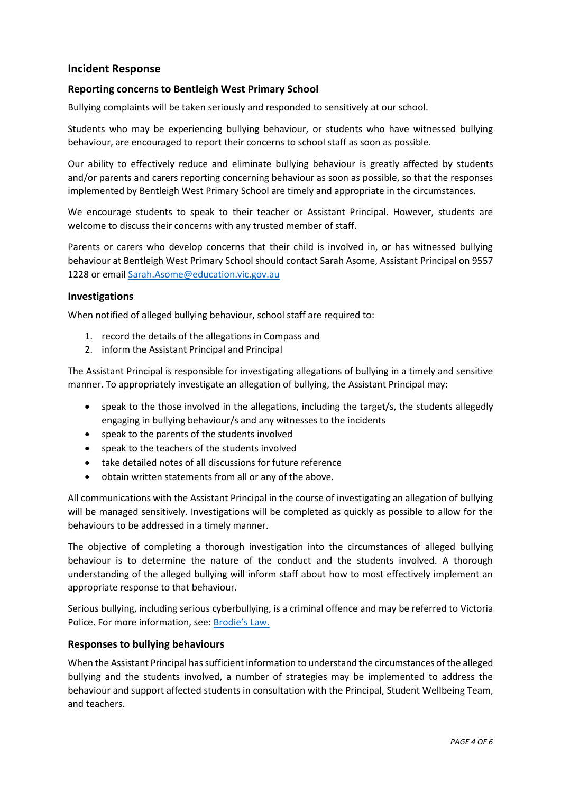# **Incident Response**

#### **Reporting concerns to Bentleigh West Primary School**

Bullying complaints will be taken seriously and responded to sensitively at our school.

Students who may be experiencing bullying behaviour, or students who have witnessed bullying behaviour, are encouraged to report their concerns to school staff as soon as possible.

Our ability to effectively reduce and eliminate bullying behaviour is greatly affected by students and/or parents and carers reporting concerning behaviour as soon as possible, so that the responses implemented by Bentleigh West Primary School are timely and appropriate in the circumstances.

We encourage students to speak to their teacher or Assistant Principal. However, students are welcome to discuss their concerns with any trusted member of staff.

Parents or carers who develop concerns that their child is involved in, or has witnessed bullying behaviour at Bentleigh West Primary School should contact Sarah Asome, Assistant Principal on 9557 1228 or email [Sarah.Asome@education.vic.gov.au](mailto:Sarah.Asome@education.vic.gov.au)

#### **Investigations**

When notified of alleged bullying behaviour, school staff are required to:

- 1. record the details of the allegations in Compass and
- 2. inform the Assistant Principal and Principal

The Assistant Principal is responsible for investigating allegations of bullying in a timely and sensitive manner. To appropriately investigate an allegation of bullying, the Assistant Principal may:

- speak to the those involved in the allegations, including the target/s, the students allegedly engaging in bullying behaviour/s and any witnesses to the incidents
- speak to the parents of the students involved
- speak to the teachers of the students involved
- take detailed notes of all discussions for future reference
- obtain written statements from all or any of the above.

All communications with the Assistant Principal in the course of investigating an allegation of bullying will be managed sensitively. Investigations will be completed as quickly as possible to allow for the behaviours to be addressed in a timely manner.

The objective of completing a thorough investigation into the circumstances of alleged bullying behaviour is to determine the nature of the conduct and the students involved. A thorough understanding of the alleged bullying will inform staff about how to most effectively implement an appropriate response to that behaviour.

Serious bullying, including serious cyberbullying, is a criminal offence and may be referred to Victoria Police. For more information, see: [Brodie's Law.](http://www.education.vic.gov.au/about/programs/bullystoppers/Pages/advicesheetbrodieslaw.aspx)

#### **Responses to bullying behaviours**

When the Assistant Principal has sufficient information to understand the circumstances of the alleged bullying and the students involved, a number of strategies may be implemented to address the behaviour and support affected students in consultation with the Principal, Student Wellbeing Team, and teachers.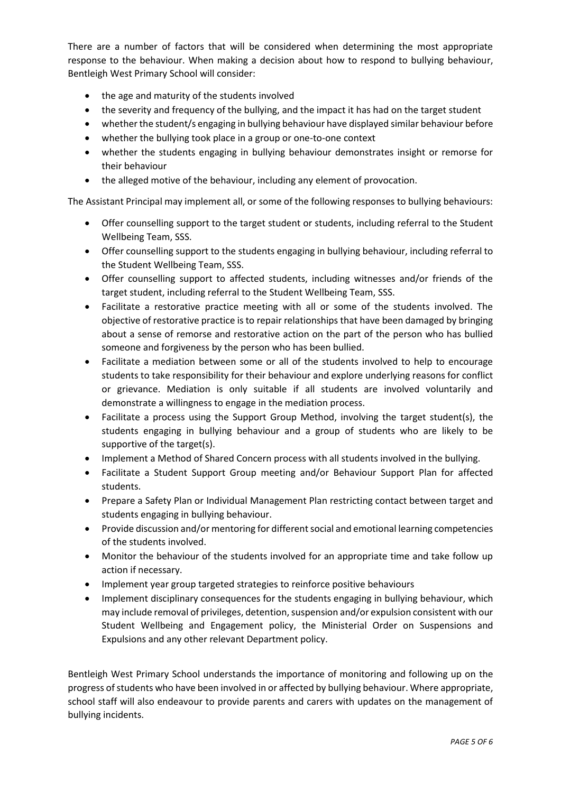There are a number of factors that will be considered when determining the most appropriate response to the behaviour. When making a decision about how to respond to bullying behaviour, Bentleigh West Primary School will consider:

- the age and maturity of the students involved
- the severity and frequency of the bullying, and the impact it has had on the target student
- whether the student/s engaging in bullying behaviour have displayed similar behaviour before
- whether the bullying took place in a group or one-to-one context
- whether the students engaging in bullying behaviour demonstrates insight or remorse for their behaviour
- the alleged motive of the behaviour, including any element of provocation.

The Assistant Principal may implement all, or some of the following responses to bullying behaviours:

- Offer counselling support to the target student or students, including referral to the Student Wellbeing Team, SSS.
- Offer counselling support to the students engaging in bullying behaviour, including referral to the Student Wellbeing Team, SSS.
- Offer counselling support to affected students, including witnesses and/or friends of the target student, including referral to the Student Wellbeing Team, SSS.
- Facilitate a restorative practice meeting with all or some of the students involved. The objective of restorative practice is to repair relationships that have been damaged by bringing about a sense of remorse and restorative action on the part of the person who has bullied someone and forgiveness by the person who has been bullied.
- Facilitate a mediation between some or all of the students involved to help to encourage students to take responsibility for their behaviour and explore underlying reasons for conflict or grievance. Mediation is only suitable if all students are involved voluntarily and demonstrate a willingness to engage in the mediation process.
- Facilitate a process using the Support Group Method, involving the target student(s), the students engaging in bullying behaviour and a group of students who are likely to be supportive of the target(s).
- Implement a Method of Shared Concern process with all students involved in the bullying.
- Facilitate a Student Support Group meeting and/or Behaviour Support Plan for affected students.
- Prepare a Safety Plan or Individual Management Plan restricting contact between target and students engaging in bullying behaviour.
- Provide discussion and/or mentoring for different social and emotional learning competencies of the students involved.
- Monitor the behaviour of the students involved for an appropriate time and take follow up action if necessary.
- Implement year group targeted strategies to reinforce positive behaviours
- Implement disciplinary consequences for the students engaging in bullying behaviour, which may include removal of privileges, detention, suspension and/or expulsion consistent with our Student Wellbeing and Engagement policy, the Ministerial Order on Suspensions and Expulsions and any other relevant Department policy.

Bentleigh West Primary School understands the importance of monitoring and following up on the progress of students who have been involved in or affected by bullying behaviour. Where appropriate, school staff will also endeavour to provide parents and carers with updates on the management of bullying incidents.